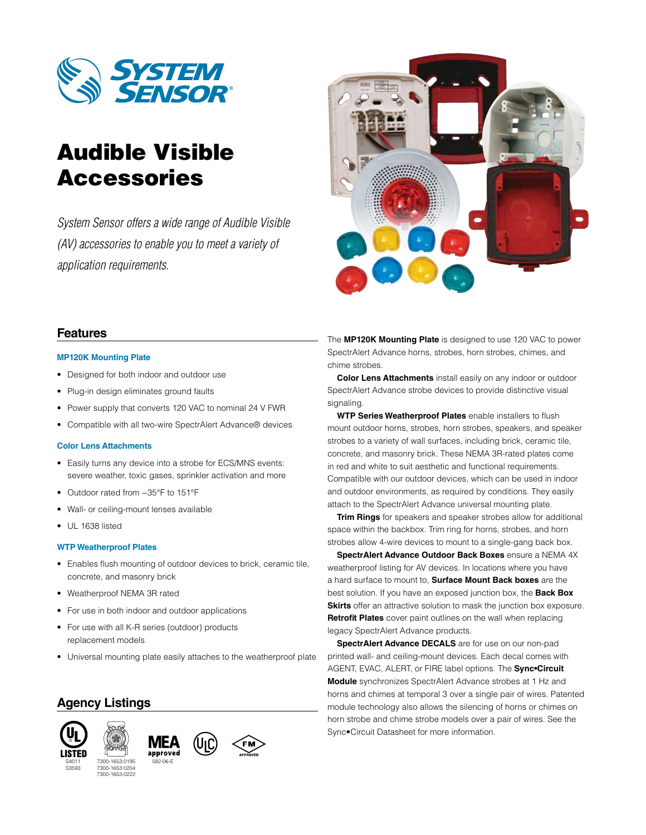

# Audible Visible Accessories

*System Sensor offers a wide range of Audible Visible (AV) accessories to enable you to meet a variety of application requirements.*



# **Features**

#### **MP120K Mounting Plate**

- Designed for both indoor and outdoor use
- Plug-in design eliminates ground faults
- Power supply that converts 120 VAC to nominal 24 V FWR
- Compatible with all two-wire SpectrAlert Advance® devices

### **Color Lens Attachments**

- Easily turns any device into a strobe for ECS/MNS events: severe weather, toxic gases, sprinkler activation and more
- Outdoor rated from −35°F to 151°F
- Wall- or ceiling-mount lenses available
- UL 1638 listed

#### **WTP Weatherproof Plates**

- Enables flush mounting of outdoor devices to brick, ceramic tile, concrete, and masonry brick
- Weatherproof NEMA 3R rated
- For use in both indoor and outdoor applications
- For use with all K-R series (outdoor) products replacement models
- Universal mounting plate easily attaches to the weatherproof plate

# **Agency Listings**



S3593







The **MP120K Mounting Plate** is designed to use 120 VAC to power SpectrAlert Advance horns, strobes, horn strobes, chimes, and chime strobes.

**Color Lens Attachments** install easily on any indoor or outdoor SpectrAlert Advance strobe devices to provide distinctive visual signaling.

**WTP Series Weatherproof Plates** enable installers to flush mount outdoor horns, strobes, horn strobes, speakers, and speaker strobes to a variety of wall surfaces, including brick, ceramic tile, concrete, and masonry brick. These NEMA 3R-rated plates come in red and white to suit aesthetic and functional requirements. Compatible with our outdoor devices, which can be used in indoor and outdoor environments, as required by conditions. They easily attach to the SpectrAlert Advance universal mounting plate.

**Trim Rings** for speakers and speaker strobes allow for additional space within the backbox. Trim ring for horns, strobes, and horn strobes allow 4-wire devices to mount to a single-gang back box.

**SpectrAlert Advance Outdoor Back Boxes** ensure a NEMA 4X weatherproof listing for AV devices. In locations where you have a hard surface to mount to, **Surface Mount Back boxes** are the best solution. If you have an exposed junction box, the **Back Box Skirts** offer an attractive solution to mask the junction box exposure. **Retrofit Plates** cover paint outlines on the wall when replacing legacy SpectrAlert Advance products.

**SpectrAlert Advance DECALS** are for use on our non-pad printed wall- and ceiling-mount devices. Each decal comes with AGENT, EVAC, ALERT, or FIRE label options. The **Sync•Circuit Module** synchronizes SpectrAlert Advance strobes at 1 Hz and horns and chimes at temporal 3 over a single pair of wires. Patented module technology also allows the silencing of horns or chimes on horn strobe and chime strobe models over a pair of wires. See the Sync•Circuit Datasheet for more information.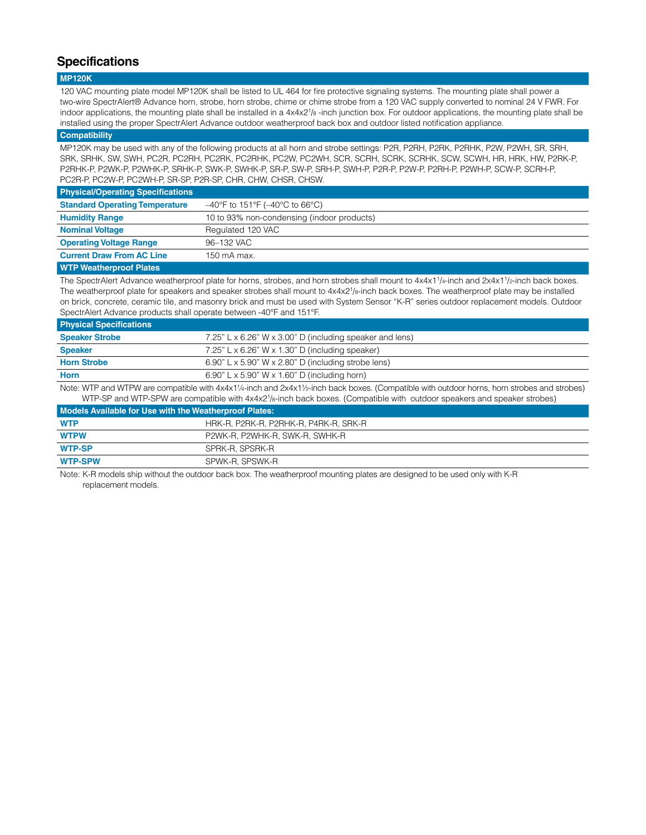# **Specifications**

#### **MP120K**

120 VAC mounting plate model MP120K shall be listed to UL 464 for fire protective signaling systems. The mounting plate shall power a two-wire SpectrAlert® Advance horn, strobe, horn strobe, chime or chime strobe from a 120 VAC supply converted to nominal 24 V FWR. For indoor applications, the mounting plate shall be installed in a 4x4x2<sup>1</sup>/8 -inch junction box. For outdoor applications, the mounting plate shall be installed using the proper SpectrAlert Advance outdoor weatherproof back box and outdoor listed notification appliance.

#### **Compatibility**

MP120K may be used with any of the following products at all horn and strobe settings: P2R, P2RH, P2RK, P2RHK, P2W, P2WH, SR, SRH, SRK, SRHK, SW, SWH, PC2R, PC2RH, PC2RK, PC2RHK, PC2W, PC2WH, SCR, SCRH, SCRK, SCRHK, SCW, SCWH, HR, HRK, HW, P2RK-P, P2RHK-P, P2WK-P, P2WHK-P, SRHK-P, SWK-P, SWHK-P, SR-P, SW-P, SRH-P, SWH-P, P2R-P, P2W-P, P2RH-P, P2WH-P, SCW-P, SCRH-P, PC2R-P, PC2W-P, PC2WH-P, SR-SP, P2R-SP, CHR, CHW, CHSR, CHSW.

| <b>Physical/Operating Specifications</b> |                                                     |
|------------------------------------------|-----------------------------------------------------|
| <b>Standard Operating Temperature</b>    | $-40^{\circ}$ F to 151°F ( $-40^{\circ}$ C to 66°C) |
| <b>Humidity Range</b>                    | 10 to 93% non-condensing (indoor products)          |
| <b>Nominal Voltage</b>                   | Regulated 120 VAC                                   |
| <b>Operating Voltage Range</b>           | 96-132 VAC                                          |
| <b>Current Draw From AC Line</b>         | 150 mA max.                                         |

#### **WTP Weatherproof Plates**

The SpectrAlert Advance weatherproof plate for horns, strobes, and horn strobes shall mount to  $4x4x11/4$ -inch and  $2x4x1/2$ -inch back boxes. The weatherproof plate for speakers and speaker strobes shall mount to 4x4x2<sup>1</sup>/8-inch back boxes. The weatherproof plate may be installed on brick, concrete, ceramic tile, and masonry brick and must be used with System Sensor "K-R" series outdoor replacement models. Outdoor SpectrAlert Advance products shall operate between -40°F and 151°F.

| <b>Physical Specifications</b> |                                                               |
|--------------------------------|---------------------------------------------------------------|
| <b>Speaker Strobe</b>          | 7.25" L x 6.26" W x 3.00" D (including speaker and lens)      |
| <b>Speaker</b>                 | 7.25" L $\times$ 6.26" W $\times$ 1.30" D (including speaker) |
| <b>Horn Strobe</b>             | $6.90"$ L x 5.90" W x 2.80" D (including strobe lens)         |
| <b>Horn</b>                    | $6.90"$ L x 5.90" W x 1.60" D (including horn)                |
|                                |                                                               |

Note: WTP and WTPW are compatible with 4x4x1¼-inch and 2x4x1½-inch back boxes. (Compatible with outdoor horns, horn strobes and strobes) WTP-SP and WTP-SPW are compatible with 4x4x2<sup>1</sup>/8-inch back boxes. (Compatible with outdoor speakers and speaker strobes)

| Models Available for Use with the Weatherproof Plates: |                                       |  |
|--------------------------------------------------------|---------------------------------------|--|
| <b>WTP</b>                                             | HRK-R, P2RK-R, P2RHK-R, P4RK-R, SRK-R |  |
| <b>WTPW</b>                                            | P2WK-R. P2WHK-R. SWK-R. SWHK-R        |  |
| <b>WTP-SP</b>                                          | SPRK-R, SPSRK-R                       |  |
| <b>WTP-SPW</b>                                         | SPWK-R, SPSWK-R                       |  |

Note: K-R models ship without the outdoor back box. The weatherproof mounting plates are designed to be used only with K-R replacement models.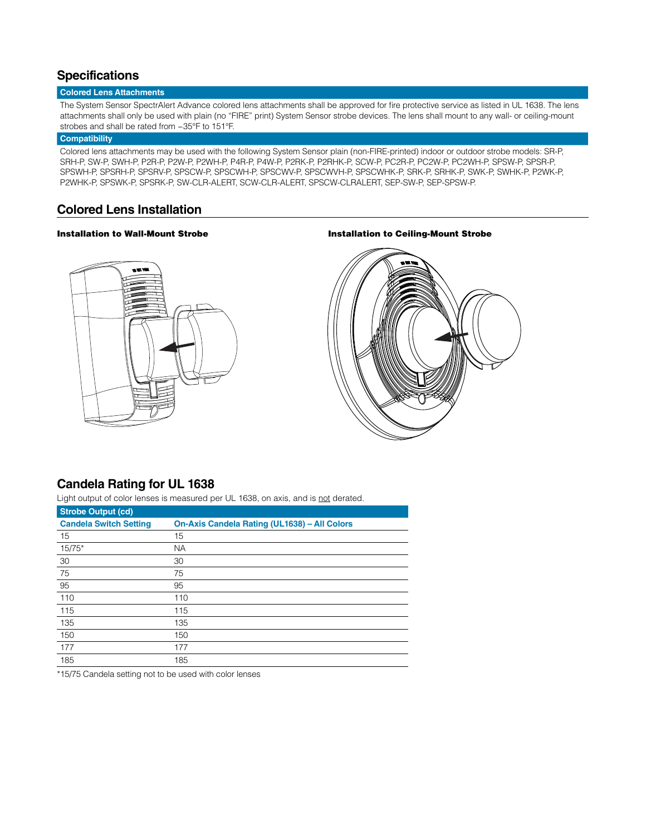# **Specifications**

### **Colored Lens Attachments**

The System Sensor SpectrAlert Advance colored lens attachments shall be approved for fire protective service as listed in UL 1638. The lens attachments shall only be used with plain (no "FIRE" print) System Sensor strobe devices. The lens shall mount to any wall- or ceiling-mount strobes and shall be rated from −35°F to 151°F.

### **Compatibility**

Colored lens attachments may be used with the following System Sensor plain (non-FIRE-printed) indoor or outdoor strobe models: SR-P, SRH-P, SW-P, SWH-P, P2R-P, P2W-P, P2WH-P, P4R-P, P4W-P, P2RK-P, P2RHK-P, SCW-P, PC2R-P, PC2W-P, PC2WH-P, SPSW-P, SPSR-P, SPSWH-P, SPSRH-P, SPSRV-P, SPSCW-P, SPSCWH-P, SPSCWV-P, SPSCWVH-P, SPSCWHK-P, SRK-P, SRHK-P, SWK-P, SWHK-P, P2WK-P, P2WHK-P, SPSWK-P, SPSRK-P, SW-CLR-ALERT, SCW-CLR-ALERT, SPSCW-CLRALERT, SEP-SW-P, SEP-SPSW-P.

### **Colored Lens Installation**

### Installation to Wall-Mount Strobe **Installation to Ceiling-Mount Strobe**





### **Candela Rating for UL 1638**

Light output of color lenses is measured per UL 1638, on axis, and is not derated.

| <b>Strobe Output (cd)</b>     |                                              |  |
|-------------------------------|----------------------------------------------|--|
| <b>Candela Switch Setting</b> | On-Axis Candela Rating (UL1638) - All Colors |  |
| 15                            | 15                                           |  |
| $15/75*$                      | <b>NA</b>                                    |  |
| 30                            | 30                                           |  |
| 75                            | 75                                           |  |
| 95                            | 95                                           |  |
| 110                           | 110                                          |  |
| 115                           | 115                                          |  |
| 135                           | 135                                          |  |
| 150                           | 150                                          |  |
| 177                           | 177                                          |  |
| 185                           | 185                                          |  |

\*15/75 Candela setting not to be used with color lenses